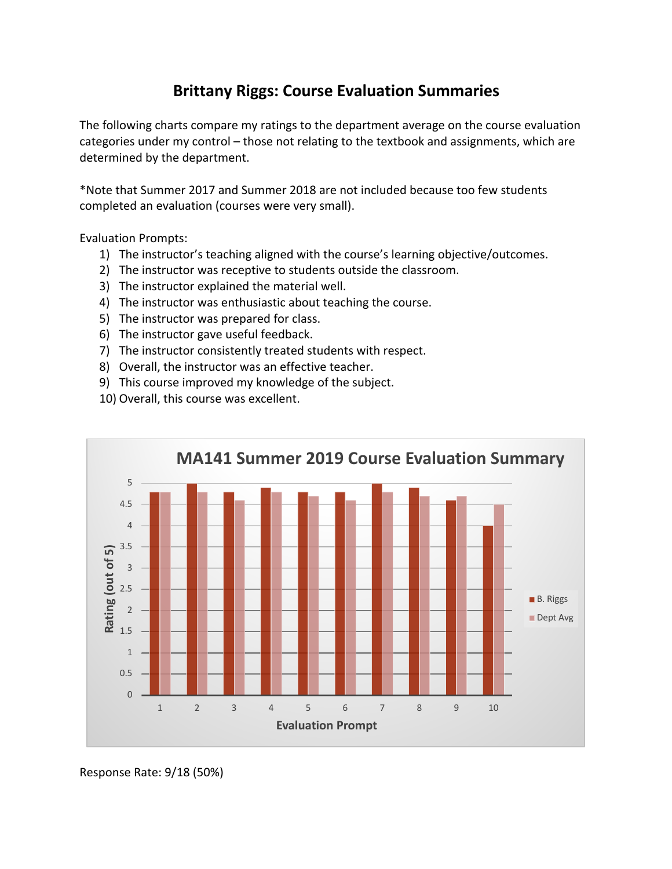## **Brittany Riggs: Course Evaluation Summaries**

The following charts compare my ratings to the department average on the course evaluation categories under my control – those not relating to the textbook and assignments, which are determined by the department.

\*Note that Summer 2017 and Summer 2018 are not included because too few students completed an evaluation (courses were very small).

Evaluation Prompts:

- 1) The instructor's teaching aligned with the course's learning objective/outcomes.
- 2) The instructor was receptive to students outside the classroom.
- 3) The instructor explained the material well.
- 4) The instructor was enthusiastic about teaching the course.
- 5) The instructor was prepared for class.
- 6) The instructor gave useful feedback.
- 7) The instructor consistently treated students with respect.
- 8) Overall, the instructor was an effective teacher.
- 9) This course improved my knowledge of the subject.
- 10) Overall, this course was excellent.



Response Rate: 9/18 (50%)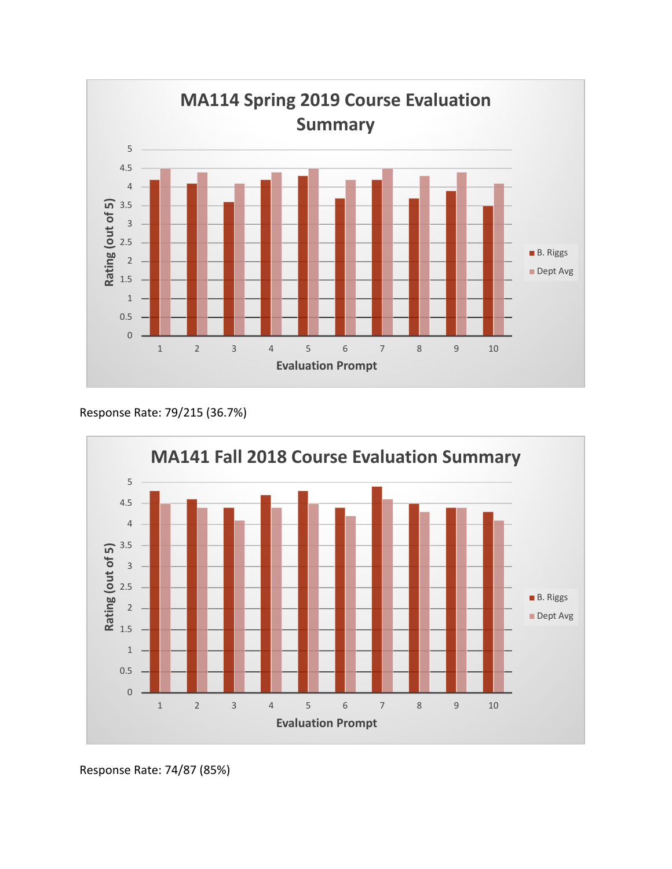

Response Rate: 79/215 (36.7%)



Response Rate: 74/87 (85%)